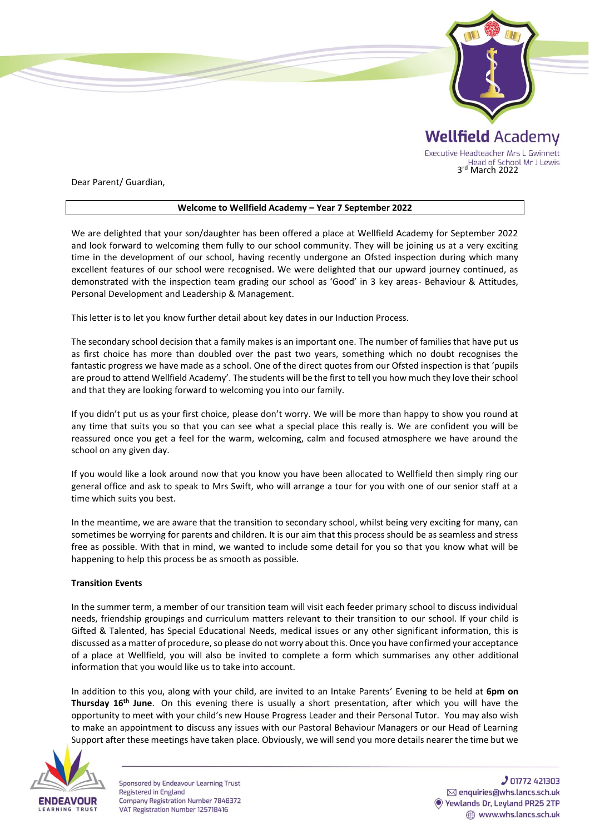

Dear Parent/ Guardian,

## **Welcome to Wellfield Academy – Year 7 September 2022**

We are delighted that your son/daughter has been offered a place at Wellfield Academy for September 2022 and look forward to welcoming them fully to our school community. They will be joining us at a very exciting time in the development of our school, having recently undergone an Ofsted inspection during which many excellent features of our school were recognised. We were delighted that our upward journey continued, as demonstrated with the inspection team grading our school as 'Good' in 3 key areas- Behaviour & Attitudes, Personal Development and Leadership & Management.

This letter is to let you know further detail about key dates in our Induction Process.

The secondary school decision that a family makes is an important one. The number of families that have put us as first choice has more than doubled over the past two years, something which no doubt recognises the fantastic progress we have made as a school. One of the direct quotes from our Ofsted inspection is that 'pupils are proud to attend Wellfield Academy'. The students will be the first to tell you how much they love their school and that they are looking forward to welcoming you into our family.

If you didn't put us as your first choice, please don't worry. We will be more than happy to show you round at any time that suits you so that you can see what a special place this really is. We are confident you will be reassured once you get a feel for the warm, welcoming, calm and focused atmosphere we have around the school on any given day.

If you would like a look around now that you know you have been allocated to Wellfield then simply ring our general office and ask to speak to Mrs Swift, who will arrange a tour for you with one of our senior staff at a time which suits you best.

In the meantime, we are aware that the transition to secondary school, whilst being very exciting for many, can sometimes be worrying for parents and children. It is our aim that this process should be as seamless and stress free as possible. With that in mind, we wanted to include some detail for you so that you know what will be happening to help this process be as smooth as possible.

## **Transition Events**

In the summer term, a member of our transition team will visit each feeder primary school to discuss individual needs, friendship groupings and curriculum matters relevant to their transition to our school. If your child is Gifted & Talented, has Special Educational Needs, medical issues or any other significant information, this is discussed as a matter of procedure, so please do not worry about this. Once you have confirmed your acceptance of a place at Wellfield, you will also be invited to complete a form which summarises any other additional information that you would like us to take into account.

In addition to this you, along with your child, are invited to an Intake Parents' Evening to be held at **6pm on Thursday 16th June**. On this evening there is usually a short presentation, after which you will have the opportunity to meet with your child's new House Progress Leader and their Personal Tutor. You may also wish to make an appointment to discuss any issues with our Pastoral Behaviour Managers or our Head of Learning Support after these meetings have taken place. Obviously, we will send you more details nearer the time but we



Sponsored by Endeavour Learning Trust **Registered in England** Company Registration Number 7848372 VAT Registration Number 125718416

**J** 01772 421303 ⊠ enquiries@whs.lancs.sch.uk Yewlands Dr, Leyland PR25 2TP www.whs.lancs.sch.uk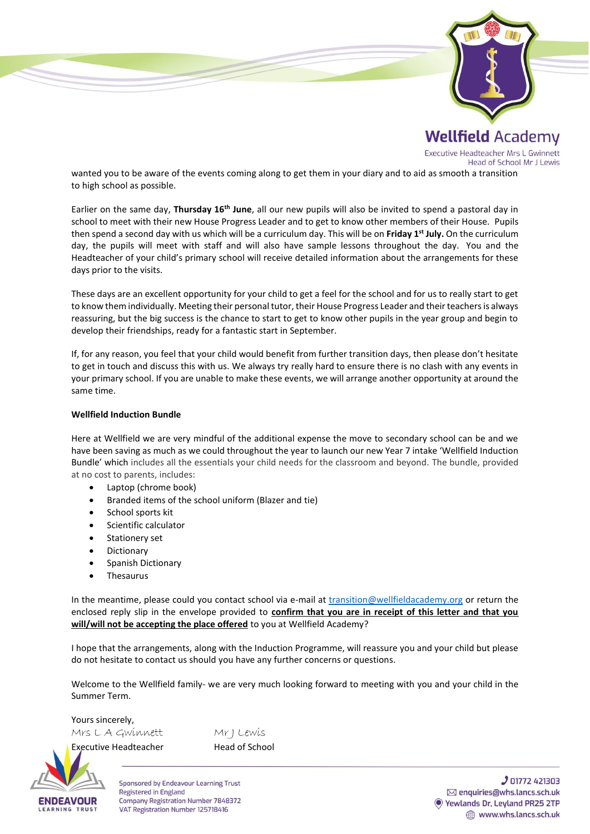

Executive Headteacher Mrs L Gwinnett Head of School Mr J Lewis

wanted you to be aware of the events coming along to get them in your diary and to aid as smooth a transition to high school as possible.

Earlier on the same day, **Thursday 16th June**, all our new pupils will also be invited to spend a pastoral day in school to meet with their new House Progress Leader and to get to know other members of their House. Pupils then spend a second day with us which will be a curriculum day. This will be on **Friday 1st July.** On the curriculum day, the pupils will meet with staff and will also have sample lessons throughout the day. You and the Headteacher of your child's primary school will receive detailed information about the arrangements for these days prior to the visits.

These days are an excellent opportunity for your child to get a feel for the school and for us to really start to get to know them individually. Meeting their personal tutor, their House Progress Leader and their teachers is always reassuring, but the big success is the chance to start to get to know other pupils in the year group and begin to develop their friendships, ready for a fantastic start in September.

If, for any reason, you feel that your child would benefit from further transition days, then please don't hesitate to get in touch and discuss this with us. We always try really hard to ensure there is no clash with any events in your primary school. If you are unable to make these events, we will arrange another opportunity at around the same time.

## **Wellfield Induction Bundle**

Here at Wellfield we are very mindful of the additional expense the move to secondary school can be and we have been saving as much as we could throughout the year to launch our new Year 7 intake 'Wellfield Induction Bundle' which includes all the essentials your child needs for the classroom and beyond. The bundle, provided at no cost to parents, includes:

- Laptop (chrome book)
- Branded items of the school uniform (Blazer and tie)
- School sports kit
- Scientific calculator
- Stationery set
- Dictionary
- Spanish Dictionary
- **Thesaurus**

In the meantime, please could you contact school via e-mail at [transition@wellfieldacademy.org](mailto:transition@wellfieldacademy.org) or return the enclosed reply slip in the envelope provided to **confirm that you are in receipt of this letter and that you will/will not be accepting the place offered** to you at Wellfield Academy?

I hope that the arrangements, along with the Induction Programme, will reassure you and your child but please do not hesitate to contact us should you have any further concerns or questions.

Welcome to the Wellfield family- we are very much looking forward to meeting with you and your child in the Summer Term.

Yours sincerely, Mrs L A Gwinnett Mr J Lewis

Executive Headteacher **Head of School** 



Sponsored by Endeavour Learning Trust **Registered in England** Company Registration Number 7848372 VAT Registration Number 125718416

**J** 01772 421303 ⊠ enquiries@whs.lancs.sch.uk Vewlands Dr, Leyland PR25 2TP www.whs.lancs.sch.uk